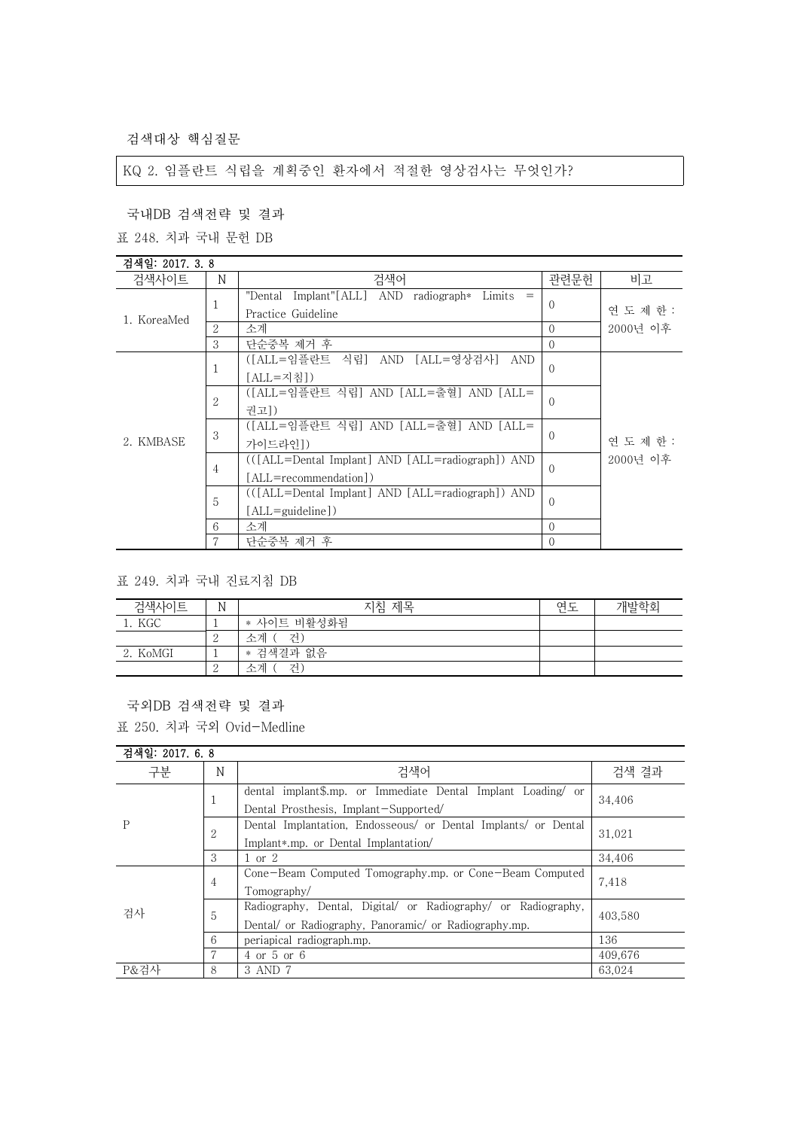검색대상 핵심질문

KQ 2. 임플란트 식립을 계획중인 환자에서 적절한 영상검사는 무엇인가?

국내DB 검색전략 및 결과

표 248. 치과 국내 문헌 DB

# 검색일: 2017. 3. 8

| 표 248. 치과 국내 문헌 DB |                |                                                       |          |           |
|--------------------|----------------|-------------------------------------------------------|----------|-----------|
| 검색일: 2017. 3.8     |                |                                                       |          |           |
| 검색사이트              | N              | 검색어                                                   | 관련문헌     | 비고        |
|                    |                | $Implant''[ALL]$ AND radiograph $Limits =$<br>"Dental | $\Omega$ |           |
| 1. KoreaMed        |                | Practice Guideline                                    |          | 연 도 제 한 : |
|                    | 2              | 소계                                                    | $\Omega$ | 2000년 이후  |
|                    | 3              | 단순중복 제거 후                                             | $\Omega$ |           |
|                    |                | ([ALL=임플란트 식립] AND [ALL=영상검사]<br>AND                  | $\Omega$ |           |
|                    |                | [ALL=지침])                                             |          |           |
|                    | $\overline{2}$ | ([ALL=임플란트 식립] AND [ALL=출혈] AND [ALL=                 |          |           |
|                    |                | 궈고])                                                  | $\Omega$ |           |
|                    | 3              | ([ALL=임플란트 식립] AND [ALL=출혈] AND [ALL=                 |          |           |
| 2. KMBASE          |                | 가이드라인])                                               | $\Omega$ | 연 도 제 한 : |
|                    | 4              | (([ALL=Dental Implant] AND [ALL=radiograph]) AND      | $\Omega$ | 2000년 이후  |
|                    |                | [ALL=recommendation])                                 |          |           |
|                    | 5              | (([ALL=Dental Implant] AND [ALL=radiograph]) AND      |          |           |
|                    |                | $[ALL = \text{quideline}]$                            | $\Omega$ |           |
|                    | 6              | 소계                                                    | $\Omega$ |           |
|                    | 7              | 단순중복 제거 후                                             | $\Omega$ |           |

표 249. 치과 국내 진료지침 DB

| 검색사이트    | N | 제목<br>지침    | 연도 | 개발학회 |
|----------|---|-------------|----|------|
| 1. KGC   |   | * 사이트 비활성화됨 |    |      |
|          | ↩ | 거<br>수계     |    |      |
| 2. KoMGI |   | * 검색결과 없음   |    |      |
|          | - | 스케<br>거     |    |      |

국외DB 검색전략 및 결과

표 250. 치과 국외 Ovid-Medline

#### 검색일: 2017. 6. 8

| 구분   | N | 검색어                                                            | 검색 결과   |
|------|---|----------------------------------------------------------------|---------|
| P    | ᆂ | dental implant\$.mp. or Immediate Dental Implant Loading/ or   | 34,406  |
|      |   | Dental Prosthesis, Implant-Supported/                          |         |
|      | 2 | Dental Implantation, Endosseous/ or Dental Implants/ or Dental | 31,021  |
|      |   | Implant*.mp. or Dental Implantation/                           |         |
|      | 3 | $1 \text{ or } 2$                                              | 34.406  |
|      | 4 | Cone-Beam Computed Tomography.mp. or Cone-Beam Computed        | 7,418   |
|      |   | Tomography/                                                    |         |
| 검사   | 5 | Radiography, Dental, Digital/ or Radiography/ or Radiography,  | 403.580 |
|      |   | Dental/ or Radiography, Panoramic/ or Radiography.mp.          |         |
|      | 6 | periapical radiograph.mp.                                      | 136     |
|      |   | 4 or 5 or 6                                                    | 409.676 |
| P&걲사 | 8 | 3 AND 7                                                        | 63.024  |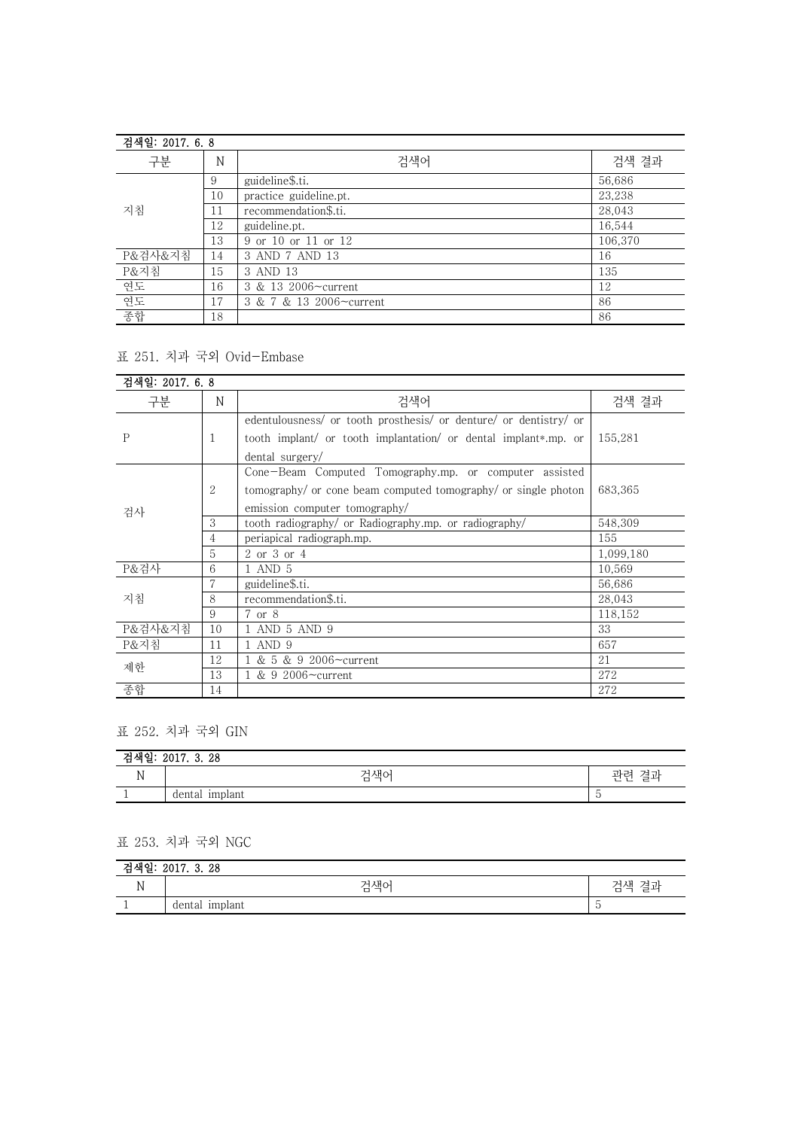| 검색일: 2017. 6.8 |    |                         |         |
|----------------|----|-------------------------|---------|
| 구분             | N  | 검색어                     | 검색 결과   |
|                | 9  | guideline\$.ti.         | 56,686  |
|                | 10 | practice guideline.pt.  | 23,238  |
| 지침             | 11 | recommendation\$.ti.    | 28,043  |
|                | 12 | guideline.pt.           | 16,544  |
|                | 13 | 9 or 10 or 11 or 12     | 106,370 |
| P&검사&지침        | 14 | 3 AND 7 AND 13          | 16      |
| P&지침           | 15 | 3 AND 13                | 135     |
| 연도             | 16 | 3 & 13 2006~current     | 12      |
| 연도             | 17 | 3 & 7 & 13 2006~current | 86      |
| 종합             | 18 |                         | 86      |

### 표 251. 치과 국외 Ovid-Embase

| 검색일: 2017. 6. 8 |    |                                                                   |           |
|-----------------|----|-------------------------------------------------------------------|-----------|
| 구분              | N  | 검색어                                                               | 검색 결과     |
|                 |    | edentulousness/ or tooth prosthesis/ or denture/ or dentistry/ or |           |
| $\mathbf{P}$    | 1  | tooth implant/ or tooth implantation/ or dental implant*.mp. or   | 155,281   |
|                 |    | dental surgery/                                                   |           |
|                 |    | Cone-Beam Computed Tomography.mp. or computer assisted            |           |
|                 | 2  | tomography/ or cone beam computed tomography/ or single photon    | 683,365   |
| 검사              |    | emission computer tomography/                                     |           |
|                 | 3  | tooth radiography/ or Radiography.mp. or radiography/             | 548.309   |
|                 | 4  | periapical radiograph.mp.                                         | 155       |
|                 | 5  | 2 or 3 or 4                                                       | 1,099,180 |
| P&걲사            | 6  | 1 AND 5                                                           | 10,569    |
|                 | 7  | guideline\$.ti.                                                   | 56,686    |
| 지침              | 8  | recommendation\$.ti.                                              | 28.043    |
|                 | 9  | 7 or 8                                                            | 118,152   |
| P&검사&지침         | 10 | 1 AND 5 AND 9                                                     | 33        |
| P&지침            | 11 | AND 9                                                             | 657       |
| 제한              | 12 | 1 & 5 & 9 2006~current                                            | 21        |
|                 | 13 | 1 & 9 2006~current                                                | 272       |
| 종합              | 14 |                                                                   | 272       |

### 표 252. 치과 국외 GIN

| ו הנוניד<br>∙≕ | 0017<br>3.28<br>2011. |                            |
|----------------|-----------------------|----------------------------|
| T A            | 검색어<br>ப              | ິ ີ້ ເ<br>-<br>ー<br>ー<br>— |
|                | dental implant        |                            |

## 표 253. 치과 국외 NGC

| 고괴<br>2017. 3. 28<br>∼<br>つせい |                   |                     |  |
|-------------------------------|-------------------|---------------------|--|
| N                             | 걱색어<br>ப          | د-<br>겨귀<br>ᆡ새<br>ー |  |
|                               | implant<br>dental |                     |  |